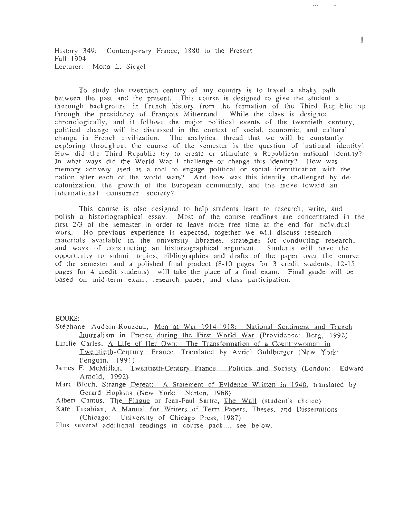History 349: Contemporary France, 1880 to the Present Fall 1994 Lecturer: Mona L. Siegel

To study the twentieth century of any country is to travel a shaky path between the past and the present. This course is designed to give the student a thorough background in French history from the formation of the Third Republic up through the presidency of François Mitterrand. While the class is designed chronologically, and it follows the major political events of the twentieth century, political change will be discussed in the context of social, economic, and cultural change in French civilization. The analytical thread that we will be constantly exploring throughout the course of the semester is the question of 'national identity': How did the Third Republic try to create or stimulate a Republican national identity? In what ways did the World War I challenge or change this identity? How was memory actively used as a tool to engage political or social identification with the nation after each of the world wars? And how was this identity challenged by decolonization, the growth of the European community, and the move toward an international consumer society?

This course is also designed to help students learn to research, write, and polish a historiographical essay. Most of the course readings are concentrated in the first 2/3 of the semester in order to leave more free time at the end for individual No previous experience is expected, together we will discuss research work. materials available in the university libraries, strategies for conducting research, and ways of constructing an historiographical argument. Students will have the opportunity to submit topics, bibliographies and drafts of the paper over the course of the semester and a polished final product (8-10 pages for 3 credit students, 12-15 pages for 4 credit students) will take the place of a final exam. Final grade will be based on mid-term exam, research paper, and class participation.

**BOOKS:** 

- Stéphane Audoin-Rouzeau, Men at War 1914-1918: National Sentiment and Trench Journalism in France during the First World War (Providence: Berg, 1992)
- Emilie Carles, A Life of Her Own: The Transformation of a Countrywoman in Twentieth-Century France. Translated by Avriel Goldberger (New York: Penguin, 1991)
- James F. McMillan, Twentieth-Century France. Politics and Society (London: Edward Arnold, 1992).
- Marc Bloch, Strange Defeat: A Statement of Evidence Written in 1940, translated by Gerard Hopkins (New York: Norton, 1968)
- Albert Camus, The Plague or Jean-Paul Sartre, The Wall (student's choice)
- Kate Turabian, A Manual for Writers of Term Papers, Theses, and Dissertations (Chicago: University of Chicago Press, 1987)
- Plus several additional readings in course pack.... see below.

 $\mathbf{1}$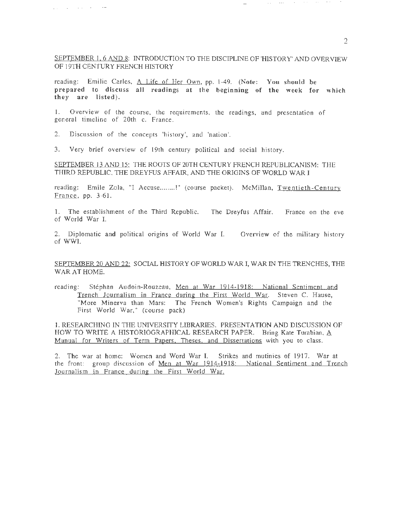### SEPTEMBER 1, 6 AND 8: INTRODUCTION TO THE DISCIPLINE OF 'HISTORY' AND OVERVIEW OF 19TH CENTURY FRENCH HISTORY

reading: Emilie Carles, A Life of Her Own, pp. 1-49. (Note: You should be prepared to discuss all readings at the beginning of the week for which they are listed).

I. Overview of the course, the requirements, the readings, and presentation of general timeline of 20th c. France.

2. Discussion of the concepts 'history', and 'nation'.

 $\mathcal{L}(\mathcal{L})$  , and  $\mathcal{L}(\mathcal{L})$  , and  $\mathcal{L}(\mathcal{L})$  , and

3. Very brief overview of 19th century political and social history.

SEPTEMBER 13 AND 15: THE ROOTS OF 20TH CENTURY FRENCH REPUBLICANISM: THE THIRD REPUBLIC, THE DREYFUS AFFAIR, AND THE ORIGINS OF WORLD WAR I

reading: Emile Zola, "I Accuse........!" (course packet). McMillan, Twentieth-Century France, pp. 3-61.

1. The establishment of the Third Republic. The Dreyfus Affair. France on the eve of World War I.

2. Diplomatic and political origins of World War I. Overview of the military history of WWI.

SEPTEMBER 20 AND 22: SOCIAL HISTORY OF WORLD WAR I, WAR IN THE TRENCHES, THE WAR AT HOME.

reading: Stéphan Audoin-Rouzeau, Men at War 1914-1918: National Sentiment and Trench Journalism in France during the First World War. Steven C. Hause, "More Minerva than Mars: The French Women's Rights Campaign and the First World War," (course pack)

1. RESEARCHING IN THE UNIVERSITY LIDRARIES. PRESENTATION AND DISCUSSION OF HOW TO WRITE A HISTORIOGRAPHICAL RESEARCH PAPER. Bring Kate Turabian,  $\underline{A}$ Manual for Writers of Term Papers. Theses. and Dissertations with you to class.

2. The war at home: Women and Word War I. Strikes and mutinies of 1917. War at the front: group discussion of Men at War 1914-1918: National Sentiment and Trench Journalism in France during the First World War.

.... . .. .... - ·- - ..... ;•• • .... . . .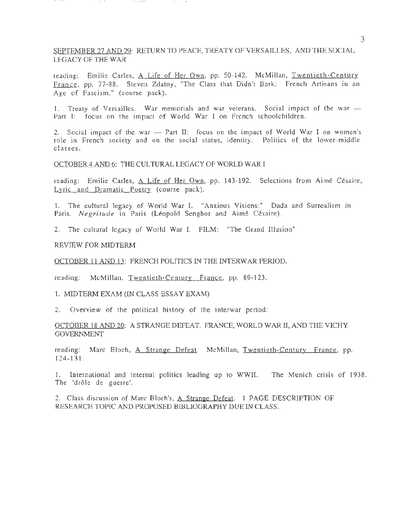# SEPTEMBER 27 AND 29: RETURN TO PEACE, TREATY OF VERSAILLES, AND THE SOCIAL LEGACY OF THE WAR

reading: Emilie Carles, A Life of Her Own, pp. 50-142. McMillan, Twentieth-Century France, pp. 77-88. Steven Zdatny, "The Class that Didn't Bark: French Artisans in an Age of Fascism," (course pack).

1. Treaty of Versailles. War memorials and war veterans. Social impact of the war  $-$ Part I: focus on the impact of World War I on French schoolchildren.

2. Social impact of the war  $-$  Part II: focus on the impact of World War I on women's role in French society and on the social status, identity. Politics of the lower-middle classes.

OCTOBER 4 AND 6: THE CULTURAL LEGACY OF WORLD WAR I

reading: Emilie Carles, A Life of Her Own, pp. 143-192. Selections from Aimé Césaire, Lyric and Dramatic Poetry (course pack).

1. The cultural legacy of World War I. "Anxious Visions:" Dada and Surrealism in Paris. *Negritude* in Paris (Léopold Senghor and Aimé Césaire).

2. The cultural legacy of World War I. FILM: "The Grand Illusion"

REVIEW FOR MIDTERM

OCTOBER 11 AND 13: FRENCH POLITICS IN THE INTERWAR PERIOD.

reading: McMillan, Twentieth-Century France, pp. 89-123.

1. MIDTERM EXAM (IN CLASS ESSAY EXAM)

2. Overview of the political history of the interwar period:

OCTOBER 18 AND 20: A STRANGE DEFEAT. FRANCE, WORLD WAR II, AND THE VICHY **GOVERNMENT** 

reading: Marc Bloch, A Strange Defeat. McMillan, Twentieth-Century France, pp. 124-131.

I. International and internal politics leading up to WWII. The Munich crisis of 1938. The 'drôle de guerre'.

2. Class discussion of Marc Bloch's, A Strange Defeat. 1 PAGE DESCRIPTION OF RESEARCH TOPIC AND PROPOSED BIBLIOGRAPHY DUE IN CLASS.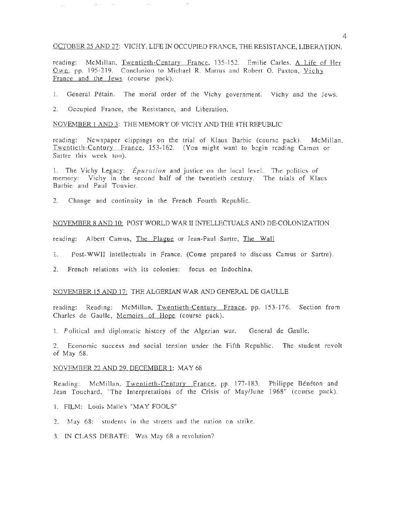#### OCTOBER 25 AND 27: VICHY, LIFE IN OCCUPIED FRANCE, THE RESISTANCE, LIBERATION.

reading: McMillan, Twentieth-Century France, 135-152. Emilie Carles, A Life of Her Own, pp. 195-219. Conclusion to Michael R. Marrus and Robert O. Paxton, Vichy France and the Jews (course pack).

- 1. General Pétain. The moral order of the Vichy government. Vichy and the Jews.
- 2. Occupied France, the Resistance, and Liberation.

 $\Delta\Delta\phi=0.000$ 

 $\bar{\mathcal{A}}$ 

#### NOVEMBER 1 AND 3: THE MEMORY OF VICHY AND THE 4TH REPUBLIC

reading: Newspaper clippings on the trial of Klaus Barbie (course pack). McMillan, Twentieth-Century France, 153-162. (You might want to begin reading Camus or Sartre this week too).

1. The Vichy Legacy: *Epuration* and justice on the local level. The politics of memory: Vichy in the second half of the twentieth century. The trials of Klaus Barbie and Paul Touvier.

2. Change and continuity in the French Fourth Republic.

#### NOVEMBER 8 AND 10: POST WORLD WAR II INTELLECTUALS AND DE-COLONIZATION

reading: Albert Camus, The Plague or Jean-Paul Sartre, The Wall

- 1. Post-WWII intellectuals in France. (Come prepared to discuss Camus or Sartre).
- 2. French relations with its colonies: focus on Indochina.

### NOVEMBER 15 AND 17: THE ALGERIAN WAR AND GENERAL DE GAULLE

reading: Reading: McMillan, Twentieth-Century France, pp. 153-176. Section from Charles de Gaulle, Memoirs of Hope (course pack).

1. Political and diplomatic history of the Algerian war. General de Gaulle.

2. Economic success and social tension under the Fifth Republic. The student revolt of May 68.

#### NOVEMBER 22 AND 29. DECEMBER 1: MAY 68

Reading: McMillan, Twentieth-Century France, pp. 177-183. Philippe Bénéton and Jean Touchard, "The Interpretations of the Crisis of May/June 1968" (course pack).

- 1. FILM: Louis Malle's "MAY FOOLS"
- 2. May 68: students in the streets and the nation on strike.
- 3. IN CLASS DEBATE: Was May 68 a revolution?